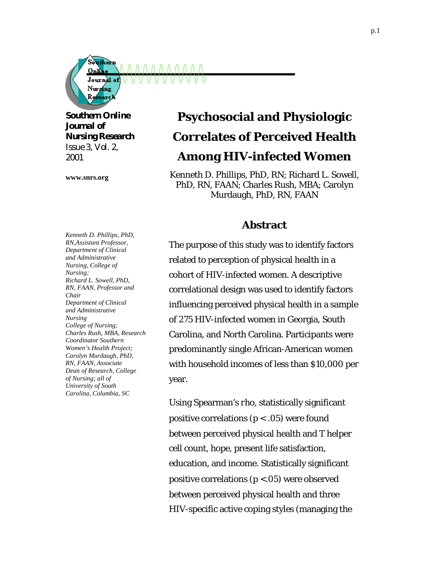

*Southern Online Journal of Nursing Research Issue 3, Vol. 2, 2001*

**www.snrs.org**

# **Psychosocial and Physiologic Correlates of Perceived Health Among HIV-infected Women**

Kenneth D. Phillips, PhD, RN; Richard L. Sowell, PhD, RN, FAAN; Charles Rush, MBA; Carolyn Murdaugh, PhD, RN, FAAN

### **Abstract**

*Kenneth D. Phillips, PhD, RN,Assistant Professor, Department of Clinical and Administrative Nursing, College of Nursing; Richard L. Sowell, PhD, RN, FAAN, Professor and Chair Department of Clinical and Administrative Nursing College of Nursing; Charles Rush, MBA, Research Coordinator Southern Women's Health Project; Carolyn Murdaugh, PhD, RN, FAAN, Associate Dean of Research, College of Nursing; all of University of South Carolina, Columbia, SC*

The purpose of this study was to identify factors related to perception of physical health in a cohort of HIV-infected women. A descriptive correlational design was used to identify factors influencing perceived physical health in a sample of 275 HIV-infected women in Georgia, South Carolina, and North Carolina. Participants were predominantly single African-American women with household incomes of less than \$10,000 per year.

Using Spearman's *rho*, statistically significant positive correlations ( $p < .05$ ) were found between perceived physical health and T helper cell count, hope, present life satisfaction, education, and income. Statistically significant positive correlations ( $p < .05$ ) were observed between perceived physical health and three HIV-specific active coping styles (managing the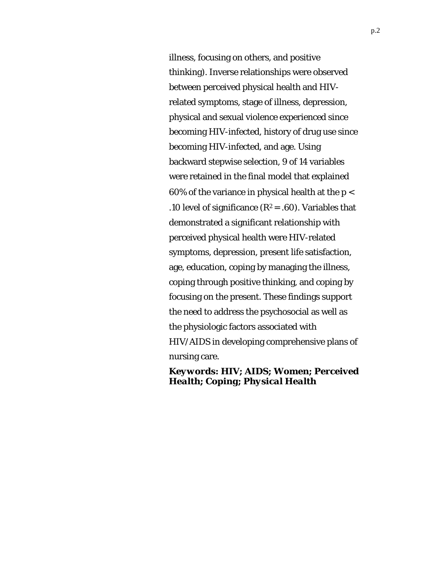illness, focusing on others, and positive thinking). Inverse relationships were observed between perceived physical health and HIVrelated symptoms, stage of illness, depression, physical and sexual violence experienced since becoming HIV-infected, history of drug use since becoming HIV-infected, and age. Using backward stepwise selection, 9 of 14 variables were retained in the final model that explained 60% of the variance in physical health at the  $p <$ .10 level of significance  $(R^2 = .60)$ . Variables that demonstrated a significant relationship with perceived physical health were HIV-related symptoms, depression, present life satisfaction, age, education, coping by managing the illness, coping through positive thinking, and coping by focusing on the present. These findings support the need to address the psychosocial as well as the physiologic factors associated with HIV/AIDS in developing comprehensive plans of nursing care.

*Keywords: HIV; AIDS; Women; Perceived Health; Coping; Physical Health*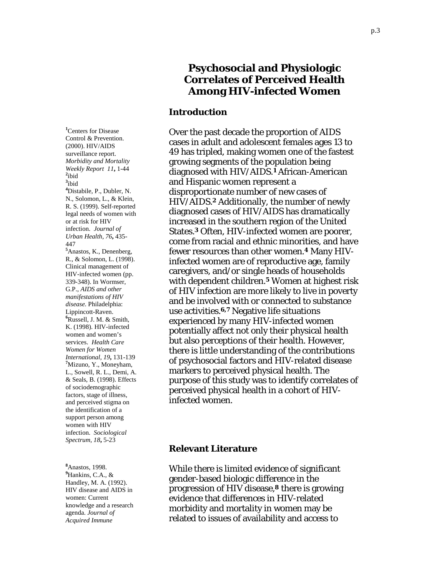## **Psychosocial and Physiologic Correlates of Perceived Health Among HIV-infected Women**

#### **Introduction**

Over the past decade the proportion of AIDS cases in adult and adolescent females ages 13 to 49 has tripled, making women one of the fastest growing segments of the population being diagnosed with HIV/AIDS.**1** African-American and Hispanic women represent a disproportionate number of new cases of HIV/AIDS.**2** Additionally, the number of newly diagnosed cases of HIV/AIDS has dramatically increased in the southern region of the United States.**3** Often, HIV-infected women are poorer, come from racial and ethnic minorities, and have fewer resources than other women.**4** Many HIVinfected women are of reproductive age, family caregivers, and/or single heads of households with dependent children.**5** Women at highest risk of HIV infection are more likely to live in poverty and be involved with or connected to substance use activities.**6,7** Negative life situations experienced by many HIV-infected women potentially affect not only their physical health but also perceptions of their health. However, there is little understanding of the contributions of psychosocial factors and HIV-related disease markers to perceived physical health. The purpose of this study was to identify correlates of perceived physical health in a cohort of HIVinfected women.

**Relevant Literature** 

While there is limited evidence of significant gender-based biologic difference in the progression of HIV disease,**8** there is growing evidence that differences in HIV-related morbidity and mortality in women may be related to issues of availability and access to

**1** Centers for Disease Control & Prevention. (2000). HIV/AIDS surveillance report. *Morbidity and Mortality Weekly Report 11***,** 1-44 **<sup>2</sup>**  $2$ ibid **3** ibid **4** Distabile, P., Dubler, N. N., Solomon, L., & Klein, R. S. (1999). Self-reported legal needs of women with or at risk for HIV infection. *Journal of Urban Health, 76***,** 435- 447 **5** Anastos, K., Denenberg, R., & Solomon, L. (1998). Clinical management of HIV-infected women (pp. 339-348). In Wormser, G.P., *AIDS and other manifestations of HIV disease.* Philadelphia: Lippincott-Raven. **6** Russell, J. M. & Smith, K. (1998). HIV-infected women and women's services. *Health Care Women for Women International, 19***,** 131-139 **<sup>7</sup>** Mizuno, Y., Moneyham, L., Sowell, R. L., Demi, A. & Seals, B. (1998). Effects of sociodemographic factors, stage of illness, and perceived stigma on the identification of a support person among women with HIV infection. *Sociological Spectrum, 18***,** 5-23

**8** Anastos, 1998. **9** Hankins, C.A., & Handley, M. A. (1992). HIV disease and AIDS in women: Current knowledge and a research agenda. *Journal of Acquired Immune*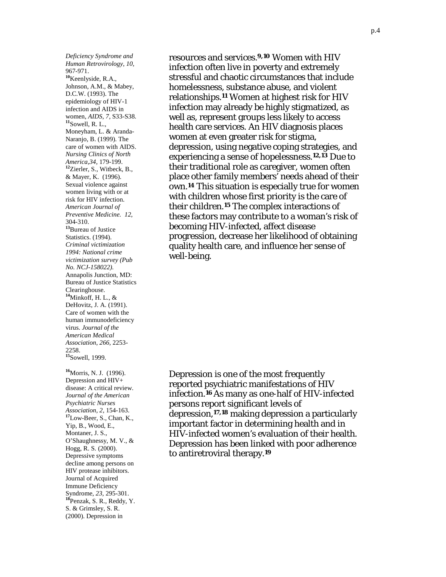*Deficiency Syndrome and Human Retrovirology, 10,* 967-971. **<sup>10</sup>**Keenlyside, R.A., Johnson, A.M., & Mabey, D.C.W. (1993). The epidemiology of HIV-1 infection and AIDS in women, *AIDS, 7,* S33-S38. **<sup>11</sup>**Sowell, R. L., Moneyham, L. & Aranda-Naranjo, B. (1999). The care of women with AIDS. *Nursing Clinics of North America,34,* 179-199. **<sup>12</sup>**Zierler, S., Witbeck, B., & Mayer, K. (1996). Sexual violence against women living with or at risk for HIV infection. *American Journal of Preventive Medicine. 12,* 304-310. **<sup>13</sup>**Bureau of Justice Statistics. (1994). *Criminal victimization 1994: National crime victimization survey (Pub No. NCJ-158022).* Annapolis Junction, MD: Bureau of Justice Statistics Clearinghouse. **<sup>14</sup>**Minkoff, H. L., & DeHovitz, J. A. (1991). Care of women with the human immunodeficiency virus. *Journal of the American Medical Association*, *266,* 2253- 2258. **<sup>15</sup>**Sowell, 1999. **<sup>16</sup>**Morris, N. J. (1996).

Depression and HIV+ disease: A critical review. *Journal of the American Psychiatric Nurses Association, 2,* 154-163. **<sup>17</sup>**Low-Beer, S., Chan, K., Yip, B., Wood, E., Montaner, J. S., O'Shaughnessy, M. V., & Hogg, R. S*.* (2000). Depressive symptoms decline among persons on HIV protease inhibitors. Journal of Acquired Immune Deficiency Syndrome, *23,* 295-301. **<sup>18</sup>**Penzak, S. R., Reddy, Y. S. & Grimsley, S. R. (2000). Depression in

resources and services.**9,10** Women with HIV infection often live in poverty and extremely stressful and chaotic circumstances that include homelessness, substance abuse, and violent relationships.**11** Women at highest risk for HIV infection may already be highly stigmatized, as well as, represent groups less likely to access health care services. An HIV diagnosis places women at even greater risk for stigma, depression, using negative coping strategies, and experiencing a sense of hopelessness.**12,13** Due to their traditional role as caregiver, women often place other family members' needs ahead of their own.**14** This situation is especially true for women with children whose first priority is the care of their children.**15** The complex interactions of these factors may contribute to a woman's risk of becoming HIV-infected, affect disease progression, decrease her likelihood of obtaining quality health care, and influence her sense of well-being.

Depression is one of the most frequently reported psychiatric manifestations of HIV infection.**16** As many as one-half of HIV-infected persons report significant levels of depression,**17,18** making depression a particularly important factor in determining health and in HIV-infected women's evaluation of their health. Depression has been linked with poor adherence to antiretroviral therapy.**19**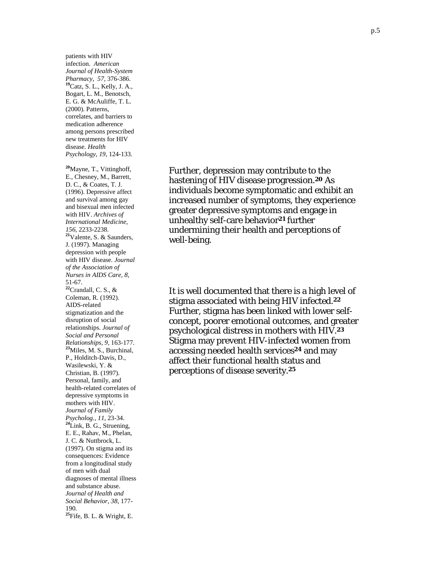patients with HIV infection. *American Journal of Health-System Pharmacy, 57,* 376-386. **<sup>19</sup>**Catz, S. L., Kelly, J. A., Bogart, L. M., Benotsch, E. G. & McAuliffe, T. L. (2000). Patterns, correlates, and barriers to medication adherence among persons prescribed new treatments for HIV disease. *Health Psychology, 19,* 124-133.

**<sup>20</sup>**Mayne, T., Vittinghoff, E., Chesney, M., Barrett, D. C., & Coates, T. J. (1996). Depressive affect and survival among gay and bisexual men infected with HIV. *Archives of International Medicine, 156,* 2233-2238. **<sup>21</sup>**Valente, S. & Saunders, J. (1997). Managing depression with people with HIV disease. *Journal of the Association of Nurses in AIDS Care, 8,* 51-67. **<sup>22</sup>**Crandall, C. S., & Coleman, R. (1992). AIDS-related stigmatization and the disruption of social relationships. *Journal of Social and Personal Relationships, 9,* 163-177. **<sup>23</sup>**Miles, M. S., Burchinal, P., Holditch-Davis, D., Wasilewski, Y. & Christian, B. (1997). Personal, family, and health-related correlates of depressive symptoms in mothers with HIV. *Journal of Family Psycholog., 11,* 23-34. **<sup>24</sup>**Link, B. G., Struening, E. E., Rahav, M., Phelan, J. C. & Nuttbrock, L. (1997). On stigma and its consequences: Evidence from a longitudinal study of men with dual diagnoses of mental illness and substance abuse. *Journal of Health and Social Behavior, 38,* 177- 190. **<sup>25</sup>**Fife, B. L. & Wright, E.

Further, depression may contribute to the hastening of HIV disease progression.**20** As individuals become symptomatic and exhibit an increased number of symptoms, they experience greater depressive symptoms and engage in unhealthy self-care behavior**21** further undermining their health and perceptions of well-being.

It is well documented that there is a high level of stigma associated with being HIV infected.**<sup>22</sup>** Further, stigma has been linked with lower selfconcept, poorer emotional outcomes, and greater psychological distress in mothers with HIV.**<sup>23</sup>** Stigma may prevent HIV-infected women from accessing needed health services**24** and may affect their functional health status and perceptions of disease severity.**25**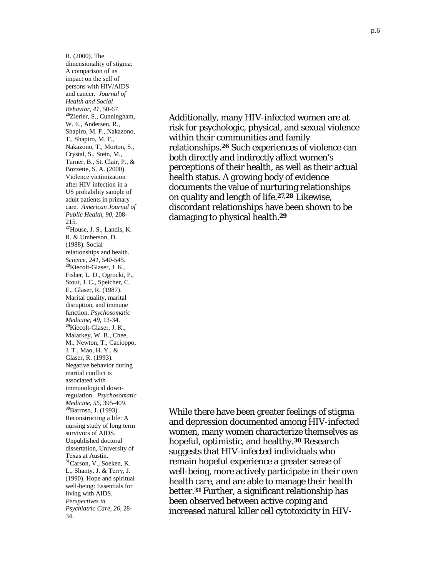R. (2000). The dimensionality of stigma: A comparison of its impact on the self of persons with HIV/AIDS and cancer. *Journal of Health and Social Behavior, 41,* 50-67. **<sup>26</sup>**Zierler, S., Cunningham, W. E., Andersen, R., Shapiro, M. F., Nakazono, T., Shapiro, M. F., Nakazono, T., Morton, S., Crystal, S., Stein, M., Turner, B., St. Clair, P., & Bozzette, S. A. (2000). Violence victimization after HIV infection in a US probability sample of adult patients in primary care. *American Journal of Public Health, 90,* 208- 215. **<sup>27</sup>**House, J. S., Landis, K. R. & Umberson, D. (1988). Social relationships and health. *Science, 241,* 540-545. **<sup>28</sup>**Kiecolt-Glaser, J. K., Fisher, L. D., Ogrocki, P., Stout, J. C., Speicher, C. E., Glaser, R. (1987). Marital quality, marital disruption, and immune function. *Psychosomatic Medicine, 49,* 13-34. **<sup>29</sup>**Kiecolt-Glaser, J. K., Malarkey, W. B., Chee, M., Newton, T., Cacioppo, J. T., Mao, H. Y., & Glaser, R. (1993). Negative behavior during marital conflict is associated with immunological downregulation. *Psychosomatic Medicine, 55,* 395-409. **<sup>30</sup>**Barroso, J. (1993). Reconstructing a life: A nursing study of long term survivors of AIDS. Unpublished doctoral dissertation, University of Texas at Austin. **<sup>31</sup>**Carson, V., Soeken, K. L., Shanty, J. & Terry, J. (1990). Hope and spiritual well-being: Essentials for living with AIDS. *Perspectives in Psychiatric Care, 26,* 28- 34.

Additionally, many HIV-infected women are at risk for psychologic, physical, and sexual violence within their communities and family relationships.**26** Such experiences of violence can both directly and indirectly affect women's perceptions of their health, as well as their actual health status. A growing body of evidence documents the value of nurturing relationships on quality and length of life.**27,28** Likewise, discordant relationships have been shown to be damaging to physical health.**<sup>29</sup>**

While there have been greater feelings of stigma and depression documented among HIV-infected women, many women characterize themselves as hopeful, optimistic, and healthy.**30** Research suggests that HIV-infected individuals who remain hopeful experience a greater sense of well-being, more actively participate in their own health care, and are able to manage their health better.**31** Further, a significant relationship has been observed between active coping and increased natural killer cell cytotoxicity in HIV-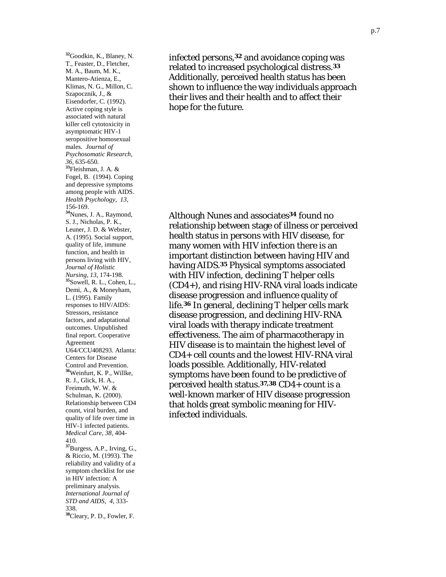**<sup>32</sup>**Goodkin, K., Blaney, N. T., Feaster, D., Fletcher, M. A., Baum, M. K., Mantero-Atienza, E., Klimas, N. G., Millon, C. Szapocznik, J., & Eisendorfer, C. (1992). Active coping style is associated with natural killer cell cytotoxicity in asymptomatic HIV-1 seropositive homosexual males. *Journal of Psychosomatic Research, 36,* 635-650. **<sup>33</sup>**Fleishman, J. A. & Fogel, B. (1994). Coping and depressive symptoms among people with AIDS. *Health Psychology, 13,* 156-169. **<sup>34</sup>**Nunes, J. A., Raymond, S. J., Nicholas, P. K., Leuner, J. D. & Webster, A. (1995). Social support, quality of life, immune function, and health in persons living with HIV, *Journal of Holistic Nursing, 13,* 174-198. **<sup>35</sup>**Sowell, R. L., Cohen, L., Demi, A., & Moneyham, L. (1995). Family responses to HIV/AIDS: Stressors, resistance factors, and adaptational outcomes. Unpublished final report. Cooperative Agreement U64/CCU408293. Atlanta: Centers for Disease Control and Prevention. **<sup>36</sup>**Weinfurt, K. P., Willke, R. J., Glick, H. A., Freimuth, W. W. & Schulman, K. (2000). Relationship between CD4 count, viral burden, and quality of life over time in HIV-1 infected patients. *Medical Care, 38,* 404- 410. **<sup>37</sup>**Burgess, A.P., Irving, G., & Riccio, M. (1993). The reliability and validity of a symptom checklist for use in HIV infection: A preliminary analysis. *International Journal of STD and AIDS, 4,* 333- 338. **<sup>38</sup>**Cleary, P. D., Fowler, F.

infected persons,**32** and avoidance coping was related to increased psychological distress.**<sup>33</sup>** Additionally, perceived health status has been shown to influence the way individuals approach their lives and their health and to affect their hope for the future.

Although Nunes and associates**34** found no relationship between stage of illness or perceived health status in persons with HIV disease, for many women with HIV infection there is an important distinction between having HIV and having AIDS.**35** Physical symptoms associated with HIV infection, declining T helper cells (CD4+), and rising HIV-RNA viral loads indicate disease progression and influence quality of life.**36** In general, declining T helper cells mark disease progression, and declining HIV-RNA viral loads with therapy indicate treatment effectiveness. The aim of pharmacotherapy in HIV disease is to maintain the highest level of CD4+ cell counts and the lowest HIV-RNA viral loads possible. Additionally, HIV-related symptoms have been found to be predictive of perceived health status.**37,38** CD4+ count is a well-known marker of HIV disease progression that holds great symbolic meaning for HIVinfected individuals.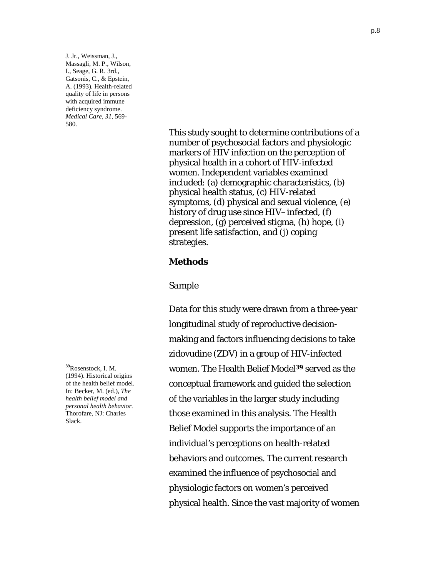J. Jr., Weissman, J., Massagli, M. P., Wilson, I., Seage, G. R. 3rd., Gatsonis, C., & Epstein, A. (1993). Health-related quality of life in persons with acquired immune deficiency syndrome. *Medical Care, 31,* 569- 580.

> This study sought to determine contributions of a number of psychosocial factors and physiologic markers of HIV infection on the perception of physical health in a cohort of HIV-infected women. Independent variables examined included: (a) demographic characteristics, (b) physical health status, (c) HIV-related symptoms, (d) physical and sexual violence, (e) history of drug use since HIV–infected, (f) depression, (g) perceived stigma, (h) hope, (i) present life satisfaction, and (j) coping strategies.

#### **Methods**

#### *Sample*

Data for this study were drawn from a three-year longitudinal study of reproductive decisionmaking and factors influencing decisions to take zidovudine (ZDV) in a group of HIV-infected women. The Health Belief Model**39** served as the conceptual framework and guided the selection of the variables in the larger study including those examined in this analysis. The Health Belief Model supports the importance of an individual's perceptions on health-related behaviors and outcomes. The current research examined the influence of psychosocial and physiologic factors on women's perceived physical health. Since the vast majority of women

**<sup>39</sup>**Rosenstock, I. M. (1994). Historical origins of the health belief model. In: Becker, M. (ed.), *The health belief model and personal health behavior.*  Thorofare, NJ: Charles Slack.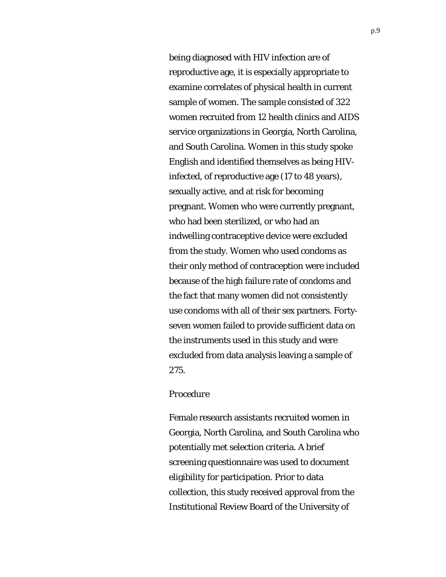being diagnosed with HIV infection are of reproductive age, it is especially appropriate to examine correlates of physical health in current sample of women. The sample consisted of 322 women recruited from 12 health clinics and AIDS service organizations in Georgia, North Carolina, and South Carolina. Women in this study spoke English and identified themselves as being HIVinfected, of reproductive age (17 to 48 years), sexually active, and at risk for becoming pregnant. Women who were currently pregnant, who had been sterilized, or who had an indwelling contraceptive device were excluded from the study. Women who used condoms as their only method of contraception were included because of the high failure rate of condoms and the fact that many women did not consistently use condoms with all of their sex partners. Fortyseven women failed to provide sufficient data on the instruments used in this study and were excluded from data analysis leaving a sample of 275.

#### *Procedure*

Female research assistants recruited women in Georgia, North Carolina, and South Carolina who potentially met selection criteria. A brief screening questionnaire was used to document eligibility for participation. Prior to data collection, this study received approval from the Institutional Review Board of the University of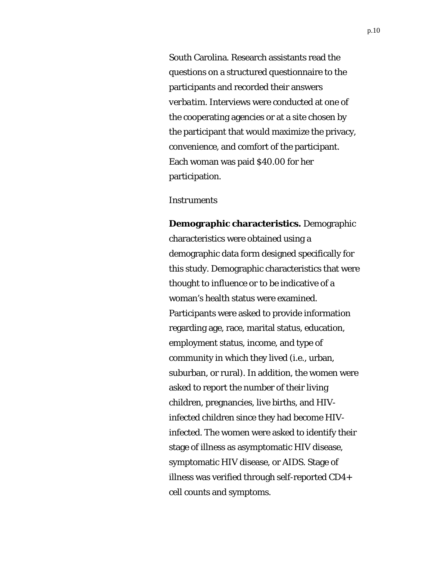South Carolina. Research assistants read the questions on a structured questionnaire to the participants and recorded their answers *verbatim.* Interviews were conducted at one of the cooperating agencies or at a site chosen by the participant that would maximize the privacy, convenience, and comfort of the participant. Each woman was paid \$40.00 for her participation.

#### *Instruments*

**Demographic characteristics.** Demographic characteristics were obtained using a demographic data form designed specifically for this study. Demographic characteristics that were thought to influence or to be indicative of a woman's health status were examined. Participants were asked to provide information regarding age, race, marital status, education, employment status, income, and type of community in which they lived (i.e., urban, suburban, or rural). In addition, the women were asked to report the number of their living children, pregnancies, live births, and HIVinfected children since they had become HIVinfected. The women were asked to identify their stage of illness as asymptomatic HIV disease, symptomatic HIV disease, or AIDS. Stage of illness was verified through self-reported CD4+ cell counts and symptoms.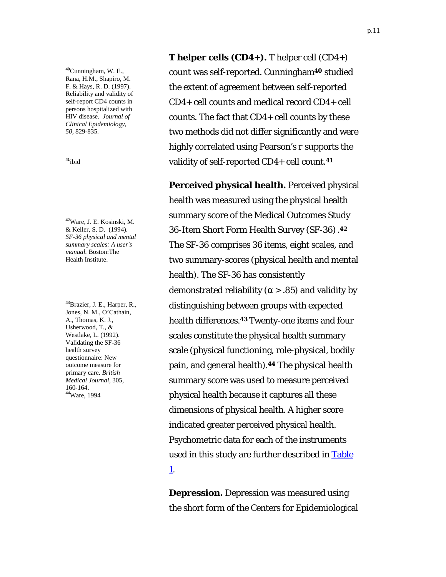**<sup>40</sup>**Cunningham, W. E., Rana, H.M., Shapiro, M. F. & Hays, R. D. (1997). Reliability and validity of self-report CD4 counts in persons hospitalized with HIV disease. *Journal of Clinical Epidemiology, 50,* 829-835.

**<sup>41</sup>**ibid

**<sup>42</sup>**Ware, J. E. Kosinski, M. & Keller, S. D. (1994). *SF-36 physical and mental summary scales: A user's manual.* Boston:The Health Institute.

**<sup>43</sup>**Brazier, J. E., Harper, R., Jones, N. M., O'Cathain, A., Thomas, K. J., Usherwood, T., & Westlake, L. (1992). Validating the SF-36 health survey questionnaire: New outcome measure for primary care. *British Medical Journal,* 305*,* 160-164. **<sup>44</sup>**Ware, 1994

**T helper cells (CD4+).** T helper cell (CD4+) count was self-reported. Cunningham**40** studied the extent of agreement between self-reported CD4+ cell counts and medical record CD4+ cell counts. The fact that CD4+ cell counts by these two methods did not differ significantly and were highly correlated using Pearson's *r* supports the validity of self-reported CD4+ cell count.**<sup>41</sup>**

**Perceived physical health.** Perceived physical health was measured using the physical health summary score of the Medical Outcomes Study 36-Item Short Form Health Survey (SF-36).**<sup>42</sup>** The SF-36 comprises 36 items, eight scales, and two summary-scores (physical health and mental health). The SF-36 has consistently demonstrated reliability ( $\alpha$  > .85) and validity by distinguishing between groups with expected health differences.**43** Twenty-one items and four scales constitute the physical health summary scale (physical functioning, role-physical, bodily pain, and general health).**44** The physical health summary score was used to measure perceived physical health because it captures all these dimensions of physical health. A higher score indicated greater perceived physical health. Psychometric data for each of the instruments used in this study are further described in Table 1.

**Depression.** Depression was measured using the short form of the Centers for Epidemiological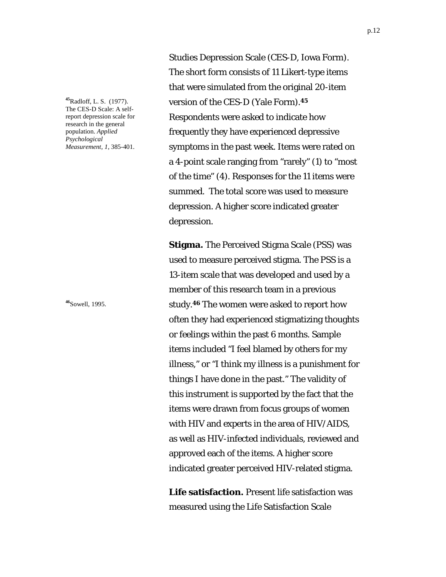**<sup>45</sup>**Radloff, L. S. (1977). The CES-D Scale: A selfreport depression scale for research in the general population. *Applied Psychological Measurement, 1,* 385-401.

**<sup>46</sup>**Sowell, 1995.

Studies Depression Scale (CES-D, Iowa Form). The short form consists of 11 Likert-type items that were simulated from the original 20-item version of the CES-D (Yale Form).**<sup>45</sup>** Respondents were asked to indicate how frequently they have experienced depressive symptoms in the past week. Items were rated on a 4-point scale ranging from "rarely" (1) to "most of the time" (4). Responses for the 11 items were summed. The total score was used to measure depression. A higher score indicated greater depression.

**Stigma.** The Perceived Stigma Scale (PSS) was used to measure perceived stigma. The PSS is a 13-item scale that was developed and used by a member of this research team in a previous study.**46** The women were asked to report how often they had experienced stigmatizing thoughts or feelings within the past 6 months. Sample items included "I feel blamed by others for my illness," or "I think my illness is a punishment for things I have done in the past." The validity of this instrument is supported by the fact that the items were drawn from focus groups of women with HIV and experts in the area of HIV/AIDS, as well as HIV-infected individuals, reviewed and approved each of the items. A higher score indicated greater perceived HIV-related stigma.

**Life satisfaction.** Present life satisfaction was measured using the Life Satisfaction Scale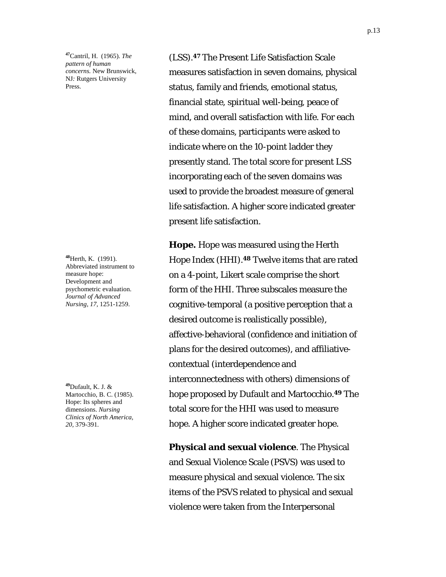**<sup>47</sup>**Cantril, H. (1965). *The pattern of human concerns.* New Brunswick, NJ*:* Rutgers University Press.

**<sup>48</sup>**Herth, K. (1991). Abbreviated instrument to measure hope: Development and psychometric evaluation. *Journal of Advanced Nursing, 17,* 1251-1259.

**<sup>49</sup>**Dufault, K. J. & Martocchio, B. C. (1985). Hope: Its spheres and dimensions. *Nursing Clinics of North America, 20,* 379-391.

(LSS).**47** The Present Life Satisfaction Scale measures satisfaction in seven domains, physical status, family and friends, emotional status, financial state, spiritual well-being, peace of mind, and overall satisfaction with life. For each of these domains, participants were asked to indicate where on the 10-point ladder they presently stand. The total score for present LSS incorporating each of the seven domains was used to provide the broadest measure of general life satisfaction. A higher score indicated greater present life satisfaction.

**Hope.** Hope was measured using the Herth Hope Index (HHI).**48** Twelve items that are rated on a 4-point, Likert scale comprise the short form of the HHI. Three subscales measure the cognitive-temporal (a positive perception that a desired outcome is realistically possible), affective-behavioral (confidence and initiation of plans for the desired outcomes), and affiliativecontextual (interdependence and interconnectedness with others) dimensions of hope proposed by Dufault and Martocchio.**49** The total score for the HHI was used to measure hope. A higher score indicated greater hope.

**Physical and sexual violence**. The Physical and Sexual Violence Scale (PSVS) was used to measure physical and sexual violence. The six items of the PSVS related to physical and sexual violence were taken from the Interpersonal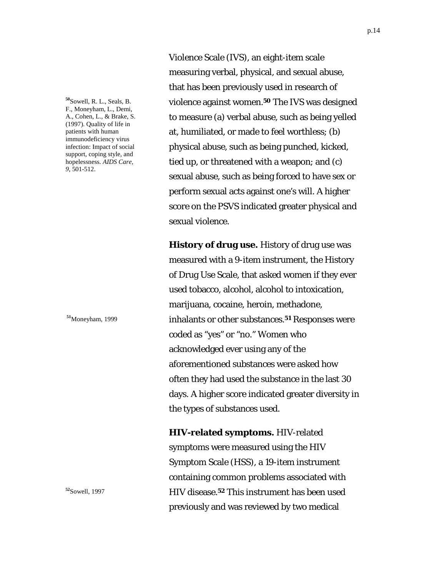**<sup>50</sup>**Sowell, R. L., Seals, B. F., Moneyham, L., Demi, A., Cohen, L., & Brake, S. (1997). Quality of life in patients with human immunodeficiency virus infection: Impact of social support, coping style, and hopelessness. *AIDS Care, 9,* 501-512.

**<sup>51</sup>**Moneyham, 1999

**<sup>52</sup>**Sowell, 1997

Violence Scale (IVS), an eight-item scale measuring verbal, physical, and sexual abuse, that has been previously used in research of violence against women.**50** The IVS was designed to measure (a) verbal abuse, such as being yelled at, humiliated, or made to feel worthless; (b) physical abuse, such as being punched, kicked, tied up, or threatened with a weapon; and (c) sexual abuse, such as being forced to have sex or perform sexual acts against one's will. A higher score on the PSVS indicated greater physical and sexual violence.

**History of drug use.** History of drug use was measured with a 9-item instrument, the History of Drug Use Scale, that asked women if they ever used tobacco, alcohol, alcohol to intoxication, marijuana, cocaine, heroin, methadone, inhalants or other substances.**51** Responses were coded as "yes" or "no." Women who acknowledged ever using any of the aforementioned substances were asked how often they had used the substance in the last 30 days. A higher score indicated greater diversity in the types of substances used.

**HIV-related symptoms.** HIV-related symptoms were measured using the HIV Symptom Scale (HSS), a 19-item instrument containing common problems associated with HIV disease.**52** This instrument has been used previously and was reviewed by two medical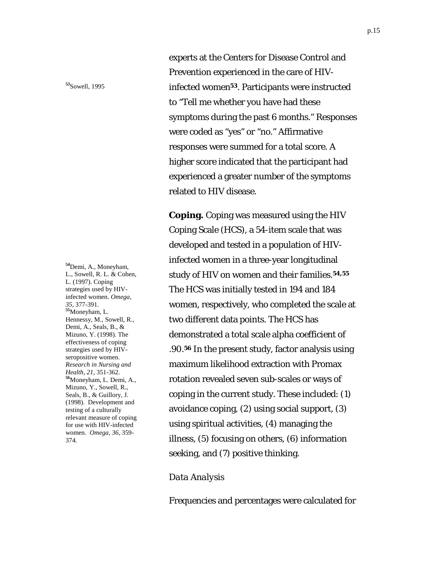**<sup>53</sup>**Sowell, 1995

**<sup>54</sup>**Demi, A., Moneyham, L., Sowell, R. L. & Cohen, L. (1997). Coping strategies used by HIVinfected women. *Omega, 35,* 377-391. **<sup>55</sup>**Moneyham, L. Hennessy, M., Sowell, R., Demi, A., Seals, B., & Mizuno, Y. (1998). The effectiveness of coping strategies used by HIVseropositive women. *Research in Nursing and Health, 21,* 351-362. **<sup>56</sup>**Moneyham, L. Demi, A., Mizuno, Y., Sowell, R., Seals, B., & Guillory, J. (1998). Development and testing of a culturally relevant measure of coping for use with HIV-infected women. *Omega, 36,* 359- 374.

experts at the Centers for Disease Control and Prevention experienced in the care of HIVinfected women**53**. Participants were instructed to "Tell me whether you have had these symptoms during the past 6 months." Responses were coded as "yes" or "no." Affirmative responses were summed for a total score. A higher score indicated that the participant had experienced a greater number of the symptoms related to HIV disease.

**Coping.** Coping was measured using the HIV Coping Scale (HCS), a 54-item scale that was developed and tested in a population of HIVinfected women in a three-year longitudinal study of HIV on women and their families.**54,55** The HCS was initially tested in 194 and 184 women, respectively, who completed the scale at two different data points. The HCS has demonstrated a total scale alpha coefficient of .90.**56** In the present study, factor analysis using maximum likelihood extraction with Promax rotation revealed seven sub-scales or ways of coping in the current study. These included: (1) avoidance coping, (2) using social support, (3) using spiritual activities, (4) managing the illness, (5) focusing on others, (6) information seeking, and (7) positive thinking.

#### *Data Analysis*

Frequencies and percentages were calculated for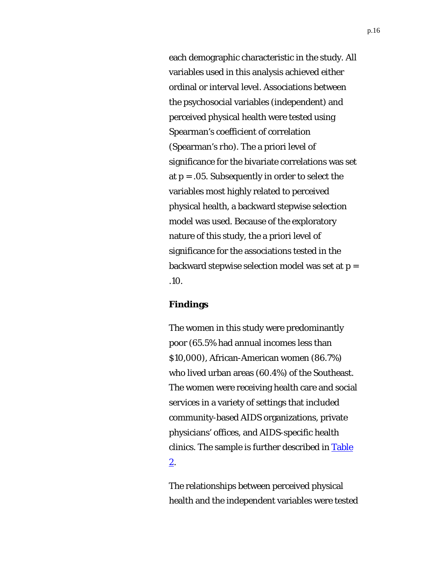each demographic characteristic in the study. All variables used in this analysis achieved either ordinal or interval level. Associations between the psychosocial variables (independent) and perceived physical health were tested using Spearman's coefficient of correlation (Spearman's *rho*). The a priori level of significance for the bivariate correlations was set at *p* = .05. Subsequently in order to select the variables most highly related to perceived physical health, a backward stepwise selection model was used. Because of the exploratory nature of this study, the a priori level of significance for the associations tested in the backward stepwise selection model was set at *p* = .10.

#### **Findings**

The women in this study were predominantly poor (65.5% had annual incomes less than \$10,000), African-American women (86.7%) who lived urban areas (60.4%) of the Southeast. The women were receiving health care and social services in a variety of settings that included community-based AIDS organizations, private physicians' offices, and AIDS-specific health clinics. The sample is further described in Table 2.

The relationships between perceived physical health and the independent variables were tested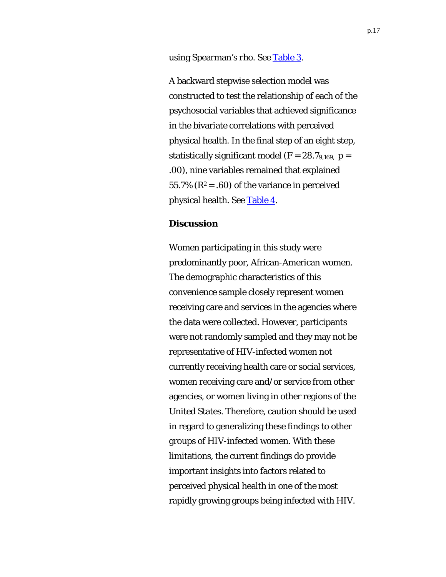using Spearman's *rho*. See Table 3.

A backward stepwise selection model was constructed to test the relationship of each of the psychosocial variables that achieved significance in the bivariate correlations with perceived physical health. In the final step of an eight step, statistically significant model  $(F = 28.7_{9,169}, p =$ .00), nine variables remained that explained 55.7%  $(R^2 = .60)$  of the variance in perceived physical health. See Table 4.

### **Discussion**

Women participating in this study were predominantly poor, African-American women. The demographic characteristics of this convenience sample closely represent women receiving care and services in the agencies where the data were collected. However, participants were not randomly sampled and they may not be representative of HIV-infected women not currently receiving health care or social services, women receiving care and/or service from other agencies, or women living in other regions of the United States. Therefore, caution should be used in regard to generalizing these findings to other groups of HIV-infected women. With these limitations, the current findings do provide important insights into factors related to perceived physical health in one of the most rapidly growing groups being infected with HIV.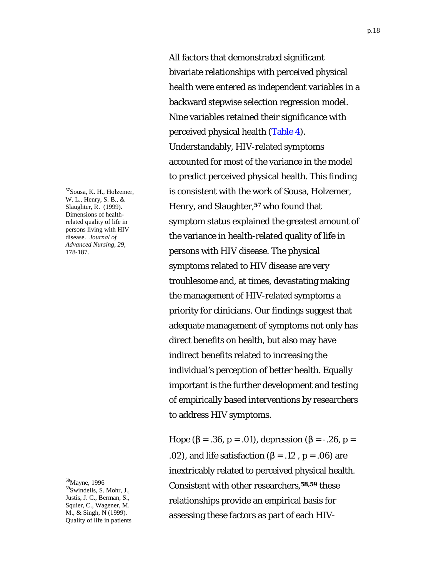**<sup>57</sup>**Sousa, K. H., Holzemer, W. L., Henry, S. B., & Slaughter, R. (1999). Dimensions of healthrelated quality of life in persons living with HIV disease. *Journal of Advanced Nursing, 29,* 178-187.

**<sup>58</sup>**Mayne, 1996 **<sup>59</sup>**Swindells, S. Mohr, J., Justis, J. C., Berman, S., Squier, C., Wagener, M. M., & Singh, N (1999). Quality of life in patients

All factors that demonstrated significant bivariate relationships with perceived physical health were entered as independent variables in a backward stepwise selection regression model. Nine variables retained their significance with perceived physical health (Table 4). Understandably, HIV-related symptoms accounted for most of the variance in the model to predict perceived physical health. This finding is consistent with the work of Sousa, Holzemer, Henry, and Slaughter,**57** who found that symptom status explained the greatest amount of the variance in health-related quality of life in persons with HIV disease. The physical symptoms related to HIV disease are very troublesome and, at times, devastating making the management of HIV-related symptoms a priority for clinicians. Our findings suggest that adequate management of symptoms not only has direct benefits on health, but also may have indirect benefits related to increasing the individual's perception of better health. Equally important is the further development and testing of empirically based interventions by researchers to address HIV symptoms.

Hope (β = .36, *p* = .01), depression (β = -.26, *p* = .02), and life satisfaction (β = .12 , *p* = .06) are inextricably related to perceived physical health. Consistent with other researchers,**58,59** these relationships provide an empirical basis for assessing these factors as part of each HIV-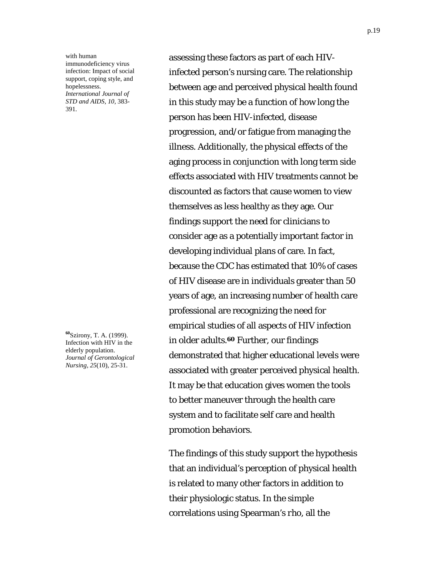with human immunodeficiency virus infection: Impact of social support, coping style, and hopelessness. *International Journal of STD and AIDS, 10,* 383- 391.

**<sup>60</sup>**Szirony, T. A. (1999). Infection with HIV in the elderly population. *Journal of Gerontological Nursing*, *25*(10), 25-31.

assessing these factors as part of each HIVinfected person's nursing care. The relationship between age and perceived physical health found in this study may be a function of how long the person has been HIV-infected, disease progression, and/or fatigue from managing the illness. Additionally, the physical effects of the aging process in conjunction with long term side effects associated with HIV treatments cannot be discounted as factors that cause women to view themselves as less healthy as they age. Our findings support the need for clinicians to consider age as a potentially important factor in developing individual plans of care. In fact, because the CDC has estimated that 10% of cases of HIV disease are in individuals greater than 50 years of age, an increasing number of health care professional are recognizing the need for empirical studies of all aspects of HIV infection in older adults.**60** Further, our findings demonstrated that higher educational levels were associated with greater perceived physical health. It may be that education gives women the tools to better maneuver through the health care system and to facilitate self care and health promotion behaviors.

The findings of this study support the hypothesis that an individual's perception of physical health is related to many other factors in addition to their physiologic status. In the simple correlations using Spearman's *rho*, all the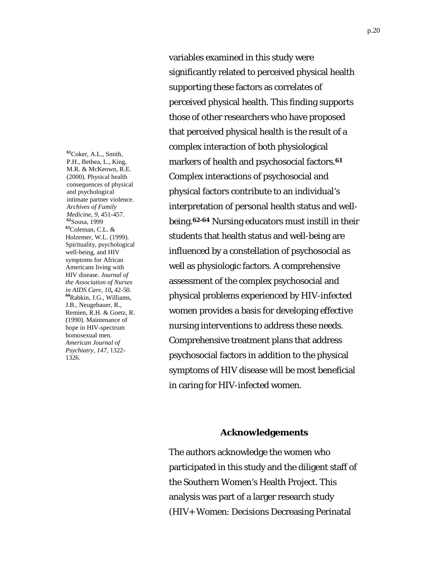**<sup>61</sup>**Coker, A.L., Smith, P.H., Bethea, L., King, M.R. & McKeown, R.E. (2000). Physical health consequences of physical and psychological intimate partner violence. *Archives of Family Medicine, <sup>9</sup>*, 451-457. **<sup>62</sup>**Sousa, 1999 **<sup>63</sup>**Coleman, C.L. & Holzemer, W.L. (1999). Spirituality, psychological well-being, and HIV symptoms for African Americans living with HIV disease. *Journal of the Association of Nurses in AIDS Care, <sup>10</sup>***,** 42-50. **<sup>64</sup>**Rabkin, J.G., Williams, J.B., Neugebauer, R., Remien, R.H. & Goetz, R. (1990). Maintenance of hope in HIV-spectrum homosexual men. *American Journal of Psychiatry, 147,* 1322- 1326.

variables examined in this study were significantly related to perceived physical health supporting these factors as correlates of perceived physical health. This finding supports those of other researchers who have proposed that perceived physical health is the result of a complex interaction of both physiological markers of health and psychosocial factors.**<sup>61</sup>** Complex interactions of psychosocial and physical factors contribute to an individual's interpretation of personal health status and wellbeing.**62-64** Nursing educators must instill in their students that health status and well-being are influenced by a constellation of psychosocial as well as physiologic factors. A comprehensive assessment of the complex psychosocial and physical problems experienced by HIV-infected women provides a basis for developing effective nursing interventions to address these needs. Comprehensive treatment plans that address psychosocial factors in addition to the physical symptoms of HIV disease will be most beneficial in caring for HIV-infected women.

#### **Acknowledgements**

The authors acknowledge the women who participated in this study and the diligent staff of the Southern Women's Health Project. This analysis was part of a larger research study (HIV+ Women: Decisions Decreasing Perinatal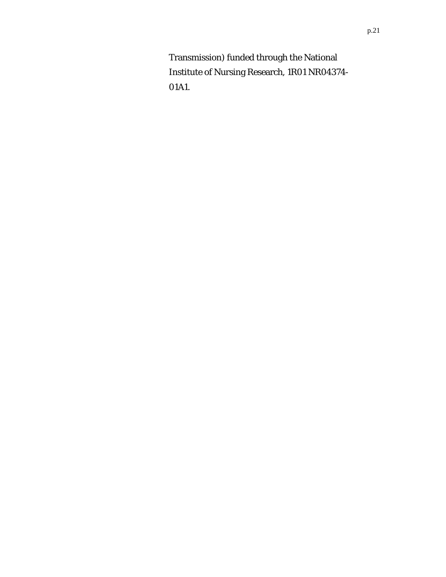Transmission) funded through the National Institute of Nursing Research, 1R01 NR04374- 01A1.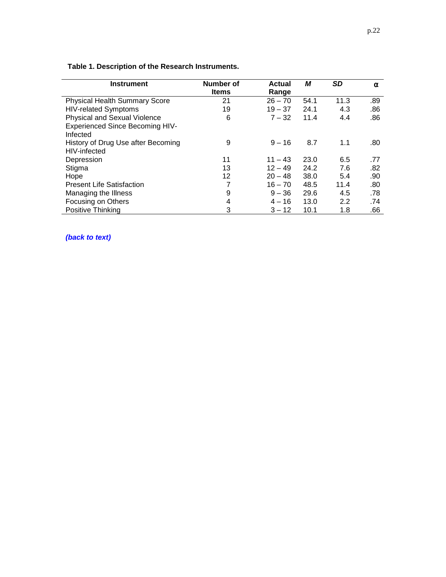| <b>Instrument</b>                      | Number of    | <b>Actual</b> | М    | <b>SD</b> | α   |
|----------------------------------------|--------------|---------------|------|-----------|-----|
|                                        | <b>Items</b> | Range         |      |           |     |
| <b>Physical Health Summary Score</b>   | 21           | $26 - 70$     | 54.1 | 11.3      | .89 |
| <b>HIV-related Symptoms</b>            | 19           | $19 - 37$     | 24.1 | 4.3       | .86 |
| Physical and Sexual Violence           | 6            | $7 - 32$      | 11.4 | 4.4       | .86 |
| <b>Experienced Since Becoming HIV-</b> |              |               |      |           |     |
| Infected                               |              |               |      |           |     |
| History of Drug Use after Becoming     | 9            | $9 - 16$      | 8.7  | 1.1       | .80 |
| HIV-infected                           |              |               |      |           |     |
| Depression                             | 11           | $11 - 43$     | 23.0 | 6.5       | .77 |
| Stigma                                 | 13           | $12 - 49$     | 24.2 | 7.6       | .82 |
| Hope                                   | 12           | $20 - 48$     | 38.0 | 5.4       | .90 |
| <b>Present Life Satisfaction</b>       | 7            | $16 - 70$     | 48.5 | 11.4      | .80 |
| Managing the Illness                   | 9            | $9 - 36$      | 29.6 | 4.5       | .78 |
| Focusing on Others                     | 4            | $4 - 16$      | 13.0 | 2.2       | .74 |
| Positive Thinking                      | 3            | $3 - 12$      | 10.1 | 1.8       | .66 |

 **Table 1. Description of the Research Instruments.** 

*(back to text)*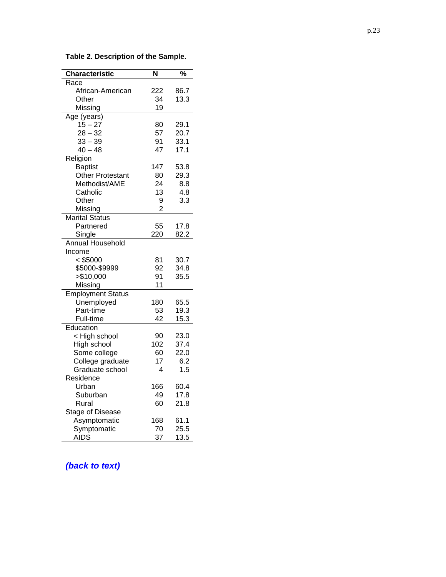| <b>Characteristic</b>    | N              | $\frac{1}{6}$ |
|--------------------------|----------------|---------------|
| Race                     |                |               |
| African-American         | 222            | 86.7          |
| Other                    | 34             | 13.3          |
| Missing                  | 19             |               |
| Age (years)              |                |               |
| $15 - 27$                | 80             | 29.1          |
| $28 - 32$                | 57             | 20.7          |
| $33 - 39$                | 91             | 33.1          |
| $40 - 48$                | 47             | 17.1          |
| Religion                 |                |               |
| <b>Baptist</b>           | 147            | 53.8          |
| Other Protestant         | 80             | 29.3          |
| Methodist/AME            | 24             | 8.8           |
| Catholic                 | 13             | 4.8           |
| Other                    | 9              | 3.3           |
| Missing                  | $\overline{2}$ |               |
| <b>Marital Status</b>    |                |               |
| Partnered                | 55             | 17.8          |
| Single                   | 220            | 82.2          |
| <b>Annual Household</b>  |                |               |
| Income                   |                |               |
| $<$ \$5000               | 81             | 30.7          |
| \$5000-\$9999            | 92             | 34.8          |
| > \$10,000               | 91             | 35.5          |
| Missing                  | 11             |               |
| <b>Employment Status</b> |                |               |
| Unemployed               | 180            | 65.5          |
| Part-time                | 53             | 19.3          |
| Full-time                | 42             | 15.3          |
| Education                |                |               |
| < High school            | 90             | 23.0          |
| High school              | 102            | 37.4          |
| Some college             | 60             | 22.0          |
| College graduate         | 17             | 6.2           |
| Graduate school          | 4              | 1.5           |
| Residence                |                |               |
| Urban                    | 166            | 60.4          |
| Suburban                 | 49             | 17.8          |
| Rural                    | 60             | 21.8          |
| Stage of Disease         |                |               |
| Asymptomatic             | 168            | 61.1          |
| Symptomatic              | 70             | 25.5          |
| <b>AIDS</b>              | 37             | 13.5          |

**Table 2. Description of the Sample.** 

# *(back to text)*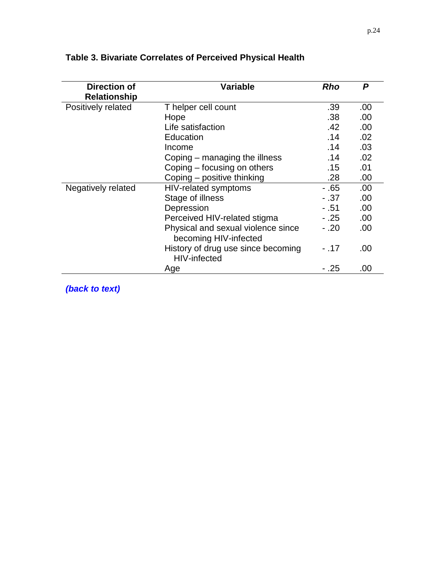| <b>Direction of</b> | Variable                                                    | <b>Rho</b> | P   |  |
|---------------------|-------------------------------------------------------------|------------|-----|--|
| <b>Relationship</b> |                                                             |            |     |  |
| Positively related  | T helper cell count                                         |            |     |  |
|                     | Hope                                                        | .38        | .00 |  |
|                     | Life satisfaction                                           | .42        | .00 |  |
|                     | Education                                                   | .14        | .02 |  |
|                     | Income                                                      | .14        | .03 |  |
|                     | Coping – managing the illness                               | .14        | .02 |  |
|                     | Coping – focusing on others                                 | .15        | .01 |  |
|                     | Coping - positive thinking                                  | .28        | .00 |  |
| Negatively related  | HIV-related symptoms                                        | $-.65$     | .00 |  |
|                     | Stage of illness                                            | $-.37$     | .00 |  |
|                     | Depression                                                  | - .51      | .00 |  |
|                     | Perceived HIV-related stigma                                | $-.25$     | .00 |  |
|                     | Physical and sexual violence since<br>becoming HIV-infected | $-.20$     | .00 |  |
|                     | History of drug use since becoming<br>HIV-infected          | $-.17$     | .00 |  |
|                     | Age                                                         | $-.25$     | .00 |  |

# **Table 3. Bivariate Correlates of Perceived Physical Health**

*(back to text)*